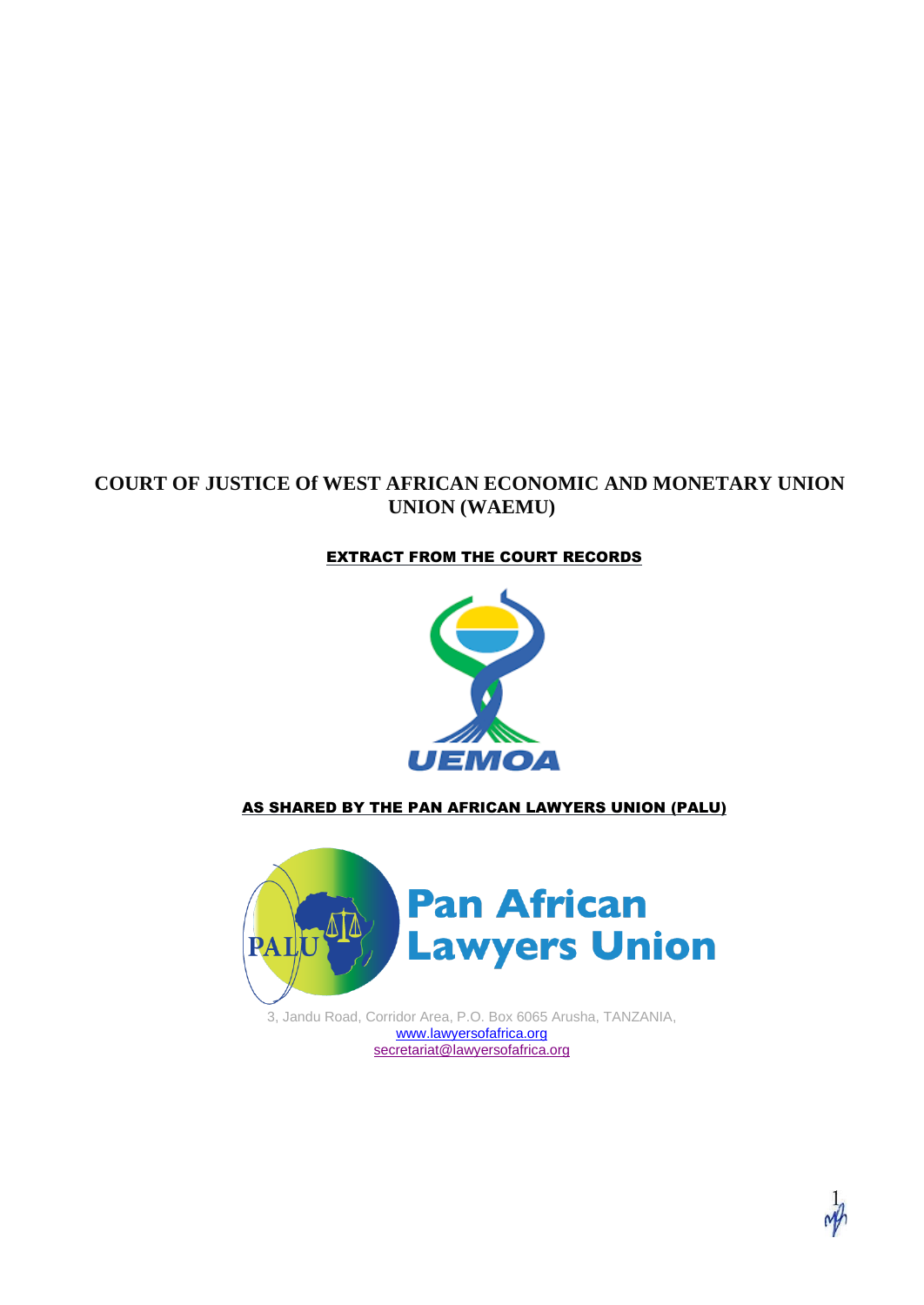#### **COURT OF JUSTICE Of WEST AFRICAN ECONOMIC AND MONETARY UNION UNION (WAEMU)**

#### EXTRACT FROM THE COURT RECORDS



#### AS SHARED BY THE PAN AFRICAN LAWYERS UNION (PALU)



3, Jandu Road, Corridor Area, P.O. Box 6065 Arusha, TANZANIA, [www.lawyersofafrica.org](http://www.lawyersofafrica.org/) [secretariat@lawyersofafrica.org](mailto:secretariat@lawyersofafrica.org)

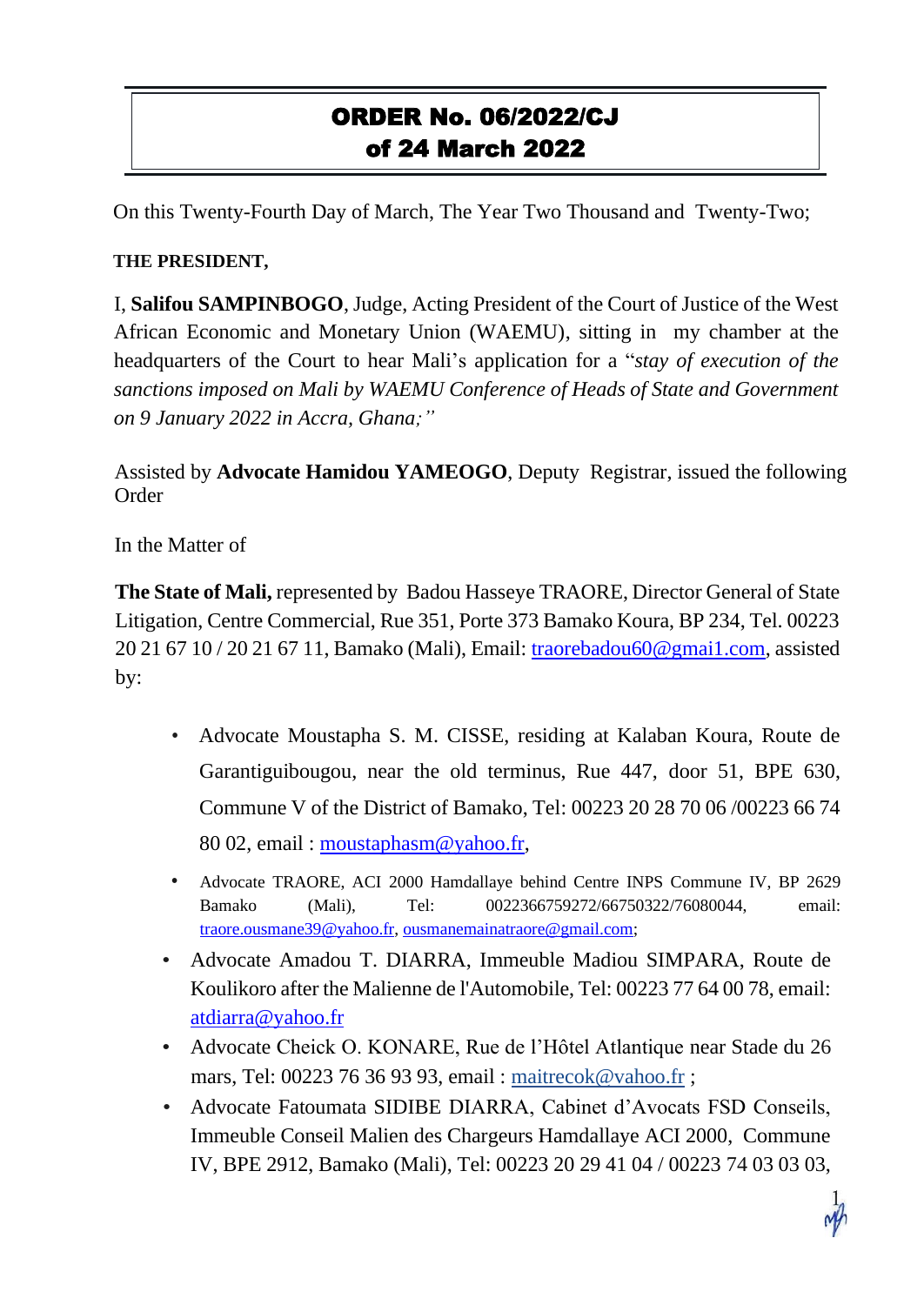# ORDER No. 06/2022/CJ of 24 March 2022

On this Twenty-Fourth Day of March, The Year Two Thousand and Twenty-Two;

#### **THE PRESIDENT,**

I, **Salifou SAMPINBOGO**, Judge, Acting President of the Court of Justice of the West African Economic and Monetary Union (WAEMU), sitting in my chamber at the headquarters of the Court to hear Mali's application for a "*stay of execution of the sanctions imposed on Mali by WAEMU Conference of Heads of State and Government on 9 January 2022 in Accra, Ghana;"*

Assisted by **Advocate Hamidou YAMEOGO**, Deputy Registrar, issued the following Order

In the Matter of

**The State of Mali,** represented by Badou Hasseye TRAORE, Director General of State Litigation, Centre Commercial, Rue 351, Porte 373 Bamako Koura, BP 234, Tel. 00223 20 21 67 10 / 20 21 67 11, Bamako (Mali), Email: [traorebadou60@gmai1.com,](mailto:traorebadou60@gmai1.com) assisted by:

- Advocate Moustapha S. M. CISSE, residing at Kalaban Koura, Route de Garantiguibougou, near the old terminus, Rue 447, door 51, BPE 630, Commune V of the District of Bamako, Tel: 00223 20 28 70 06 /00223 66 74 80 02, email : [moustaphasm@yahoo.fr,](mailto:moustaphasm@yahoo.fr)
- Advocate TRAORE, ACI 2000 Hamdallaye behind Centre INPS Commune IV, BP 2629 Bamako (Mali), Tel: 0022366759272/66750322/76080044, email: [traore.ousmane39@yahoo.fr,](mailto:traore.ousmane39@yahoo.fr) [ousmanemainatraore@gmail.com;](mailto:ousmanemainatraore@gmail.com)
- Advocate Amadou T. DIARRA, Immeuble Madiou SIMPARA, Route de Koulikoro after the Malienne de l'Automobile, Tel: 00223 77 64 00 78, email: [atdiarra@yahoo.fr](mailto:atdiarra@yahoo.fr)
- Advocate Cheick O. KONARE, Rue de l'Hôtel Atlantique near Stade du 26 mars, Tel: 00223 76 36 93 93, email : [maitrecok@vahoo.fr](mailto:maitrecok@vahoo.fr) ;
- Advocate Fatoumata SIDIBE DIARRA, Cabinet d'Avocats FSD Conseils, Immeuble Conseil Malien des Chargeurs Hamdallaye ACI 2000, Commune IV, BPE 2912, Bamako (Mali), Tel: 00223 20 29 41 04 / 00223 74 03 03 03,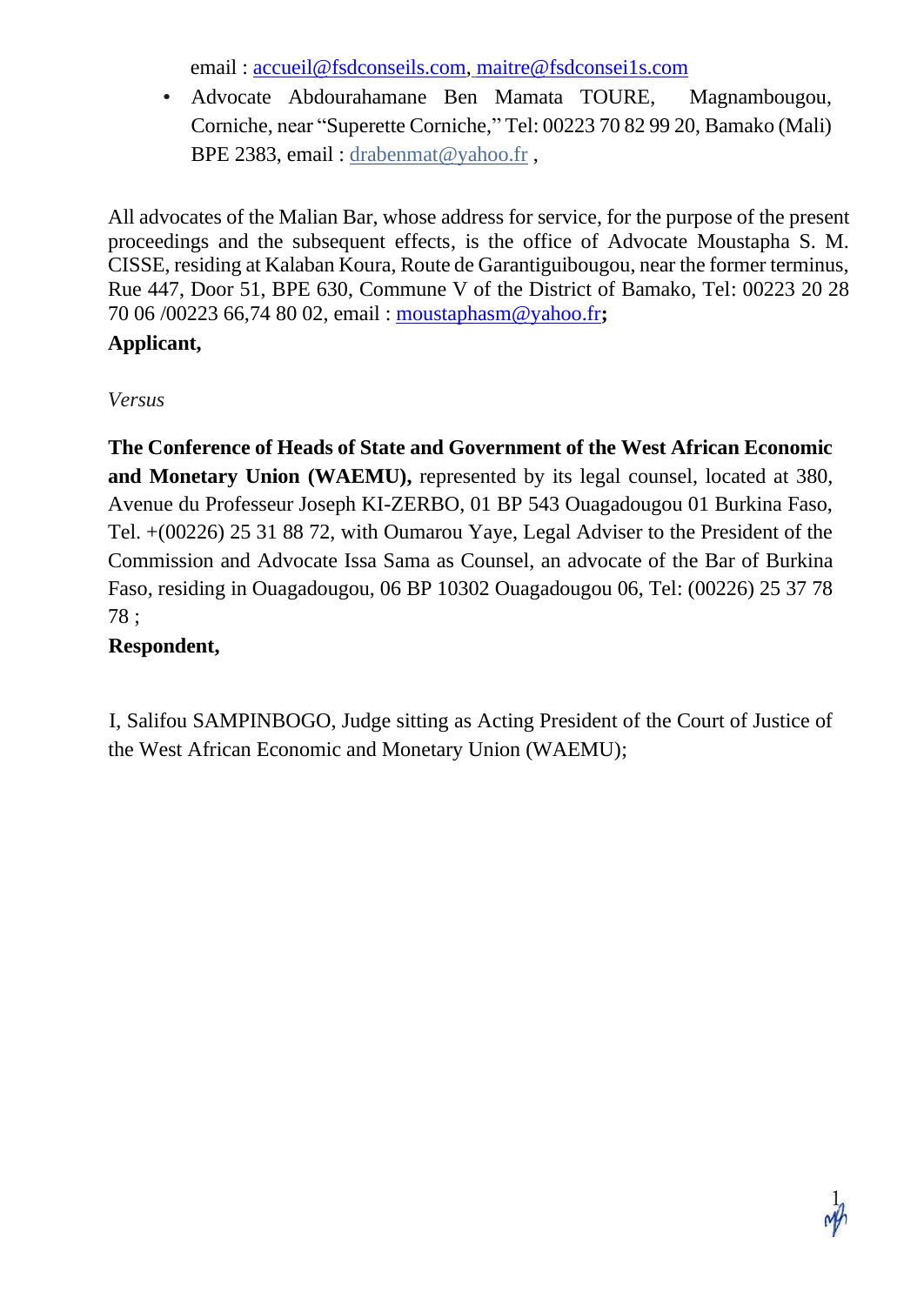email : [accueil@fsdconseils.com,](mailto:accueil@fsdconseils.com) [maitre@fsdconsei1s.com](mailto:maitre@fsdconsei1s.com)

• Advocate Abdourahamane Ben Mamata TOURE, Magnambougou, Corniche, near "Superette Corniche," Tel: 00223 70 82 99 20, Bamako (Mali) BPE 2383, email: drabenmat@yahoo.fr,

All advocates of the Malian Bar, whose address for service, for the purpose of the present proceedings and the subsequent effects, is the office of Advocate Moustapha S. M. CISSE, residing at Kalaban Koura, Route de Garantiguibougou, near the former terminus, Rue 447, Door 51, BPE 630, Commune V of the District of Bamako, Tel: 00223 20 28 70 06 /00223 66,74 80 02, email : [moustaphasm@yahoo.fr](mailto:moustaphasm@yahoo.fr)**;**

### **Applicant,**

*Versus*

**The Conference of Heads of State and Government of the West African Economic and Monetary Union (WAEMU),** represented by its legal counsel, located at 380, Avenue du Professeur Joseph KI-ZERBO, 01 BP 543 Ouagadougou 01 Burkina Faso, Tel. +(00226) 25 31 88 72, with Oumarou Yaye, Legal Adviser to the President of the Commission and Advocate Issa Sama as Counsel, an advocate of the Bar of Burkina Faso, residing in Ouagadougou, 06 BP 10302 Ouagadougou 06, Tel: (00226) 25 37 78 78 ;

### **Respondent,**

I, Salifou SAMPINBOGO, Judge sitting as Acting President of the Court of Justice of the West African Economic and Monetary Union (WAEMU);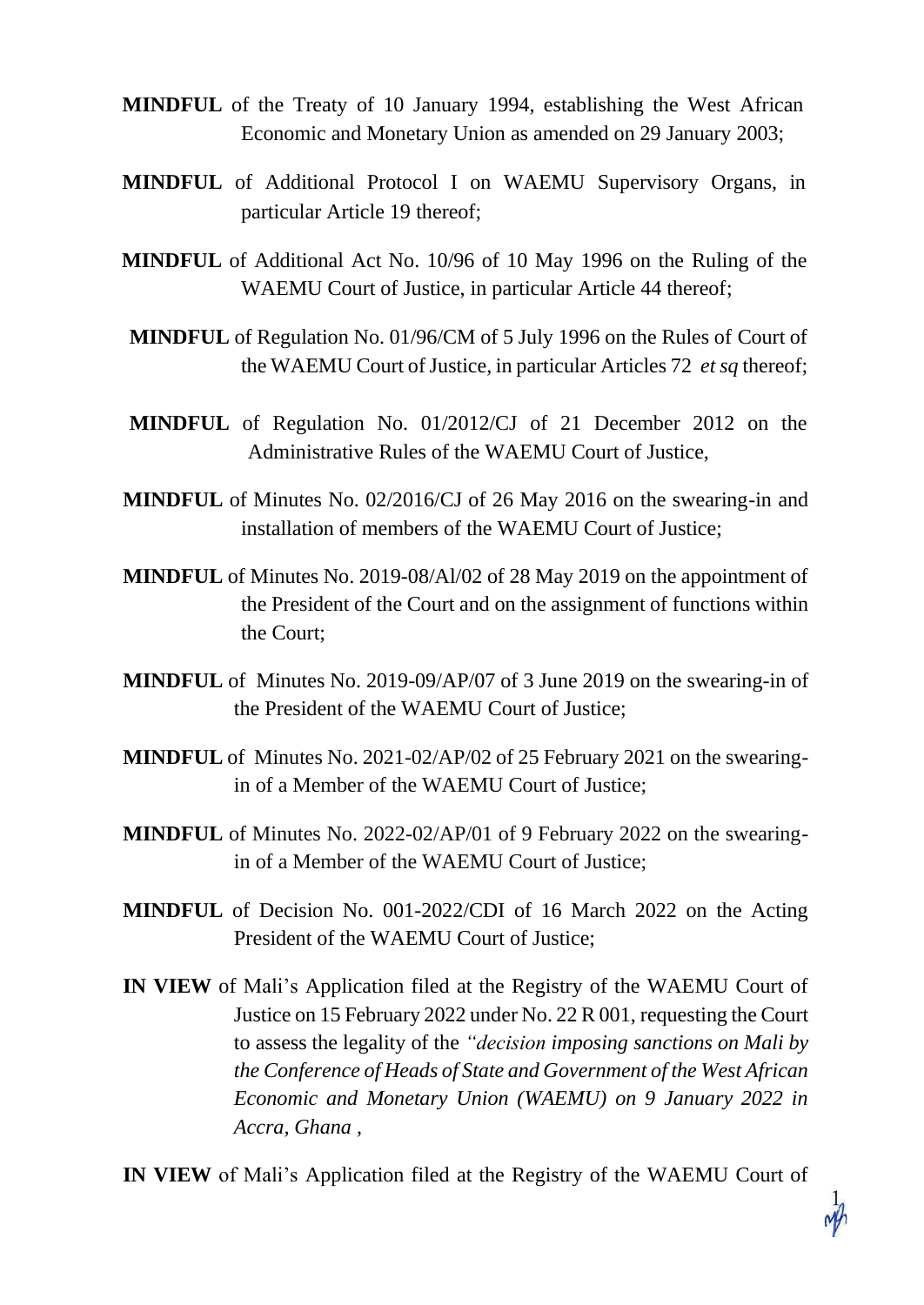- **MINDFUL** of the Treaty of 10 January 1994, establishing the West African Economic and Monetary Union as amended on 29 January 2003;
- **MINDFUL** of Additional Protocol I on WAEMU Supervisory Organs, in particular Article 19 thereof;
- **MINDFUL** of Additional Act No. 10/96 of 10 May 1996 on the Ruling of the WAEMU Court of Justice, in particular Article 44 thereof;
- **MINDFUL** of Regulation No. 01/96/CM of 5 July 1996 on the Rules of Court of the WAEMU Court of Justice, in particular Articles 72 *et sq* thereof;
- **MINDFUL** of Regulation No. 01/2012/CJ of 21 December 2012 on the Administrative Rules of the WAEMU Court of Justice,
- **MINDFUL** of Minutes No. 02/2016/CJ of 26 May 2016 on the swearing-in and installation of members of the WAEMU Court of Justice;
- **MINDFUL** of Minutes No. 2019-08/Al/02 of 28 May 2019 on the appointment of the President of the Court and on the assignment of functions within the Court;
- **MINDFUL** of Minutes No. 2019-09/AP/07 of 3 June 2019 on the swearing-in of the President of the WAEMU Court of Justice;
- **MINDFUL** of Minutes No. 2021-02/AP/02 of 25 February 2021 on the swearingin of a Member of the WAEMU Court of Justice;
- **MINDFUL** of Minutes No. 2022-02/AP/01 of 9 February 2022 on the swearingin of a Member of the WAEMU Court of Justice;
- **MINDFUL** of Decision No. 001-2022/CDI of 16 March 2022 on the Acting President of the WAEMU Court of Justice;
- **IN VIEW** of Mali's Application filed at the Registry of the WAEMU Court of Justice on 15 February 2022 under No. 22 R 001, requesting the Court to assess the legality of the *"decision imposing sanctions on Mali by the Conference of Heads of State and Government of the West African Economic and Monetary Union (WAEMU) on 9 January 2022 in Accra, Ghana ,*

**IN VIEW** of Mali's Application filed at the Registry of the WAEMU Court of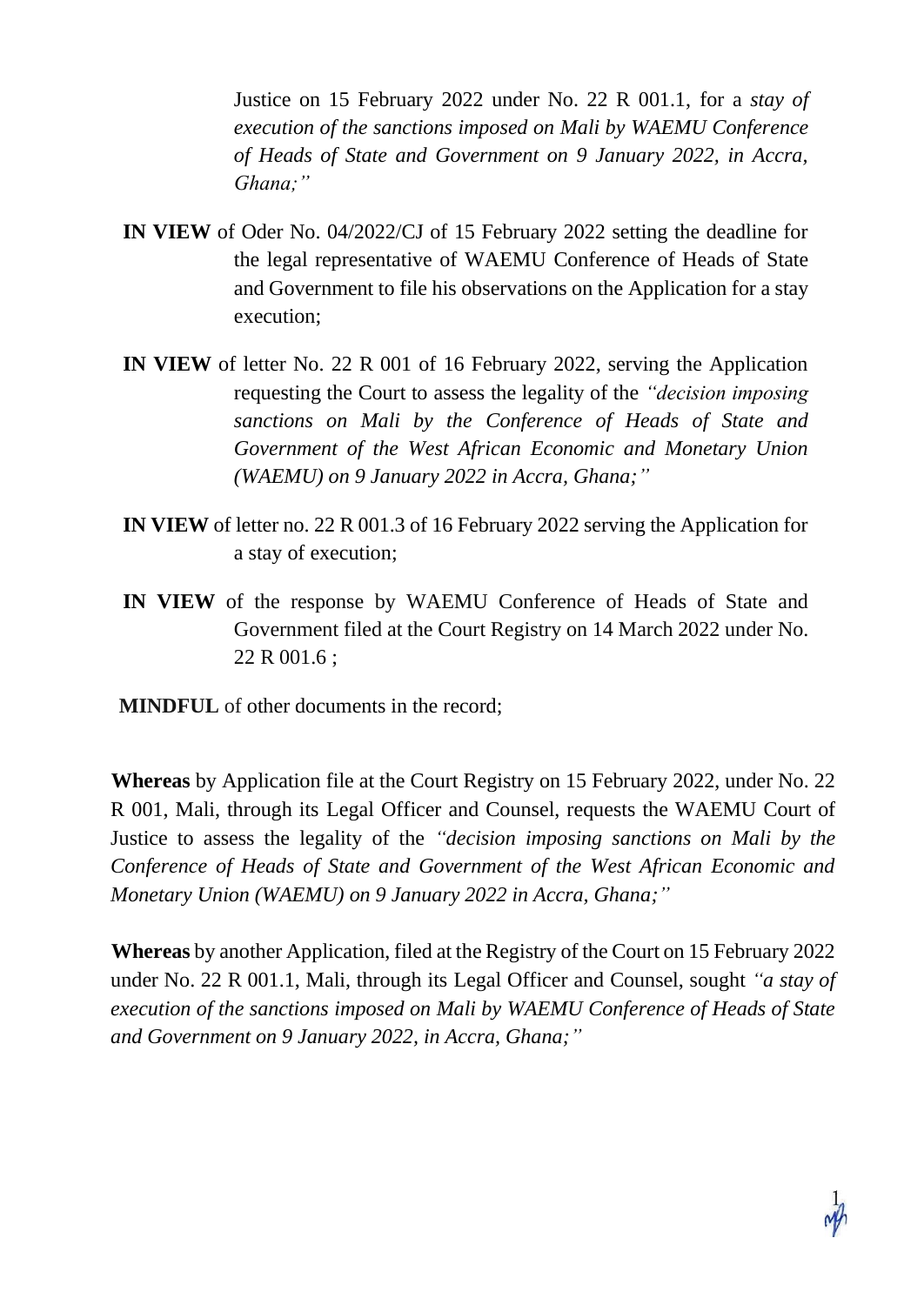Justice on 15 February 2022 under No. 22 R 001.1, for a *stay of execution of the sanctions imposed on Mali by WAEMU Conference of Heads of State and Government on 9 January 2022, in Accra, Ghana;"*

- **IN VIEW** of Oder No. 04/2022/CJ of 15 February 2022 setting the deadline for the legal representative of WAEMU Conference of Heads of State and Government to file his observations on the Application for a stay execution;
- **IN VIEW** of letter No. 22 R 001 of 16 February 2022, serving the Application requesting the Court to assess the legality of the *"decision imposing sanctions on Mali by the Conference of Heads of State and Government of the West African Economic and Monetary Union (WAEMU) on 9 January 2022 in Accra, Ghana;"*
- **IN VIEW** of letter no. 22 R 001.3 of 16 February 2022 serving the Application for a stay of execution;
- **IN VIEW** of the response by WAEMU Conference of Heads of State and Government filed at the Court Registry on 14 March 2022 under No. 22 R 001.6 ;
- **MINDFUL** of other documents in the record;

**Whereas** by Application file at the Court Registry on 15 February 2022, under No. 22 R 001, Mali, through its Legal Officer and Counsel, requests the WAEMU Court of Justice to assess the legality of the *"decision imposing sanctions on Mali by the Conference of Heads of State and Government of the West African Economic and Monetary Union (WAEMU) on 9 January 2022 in Accra, Ghana;"*

**Whereas** by another Application, filed at the Registry of the Court on 15 February 2022 under No. 22 R 001.1, Mali, through its Legal Officer and Counsel, sought *"a stay of execution of the sanctions imposed on Mali by WAEMU Conference of Heads of State and Government on 9 January 2022, in Accra, Ghana;"*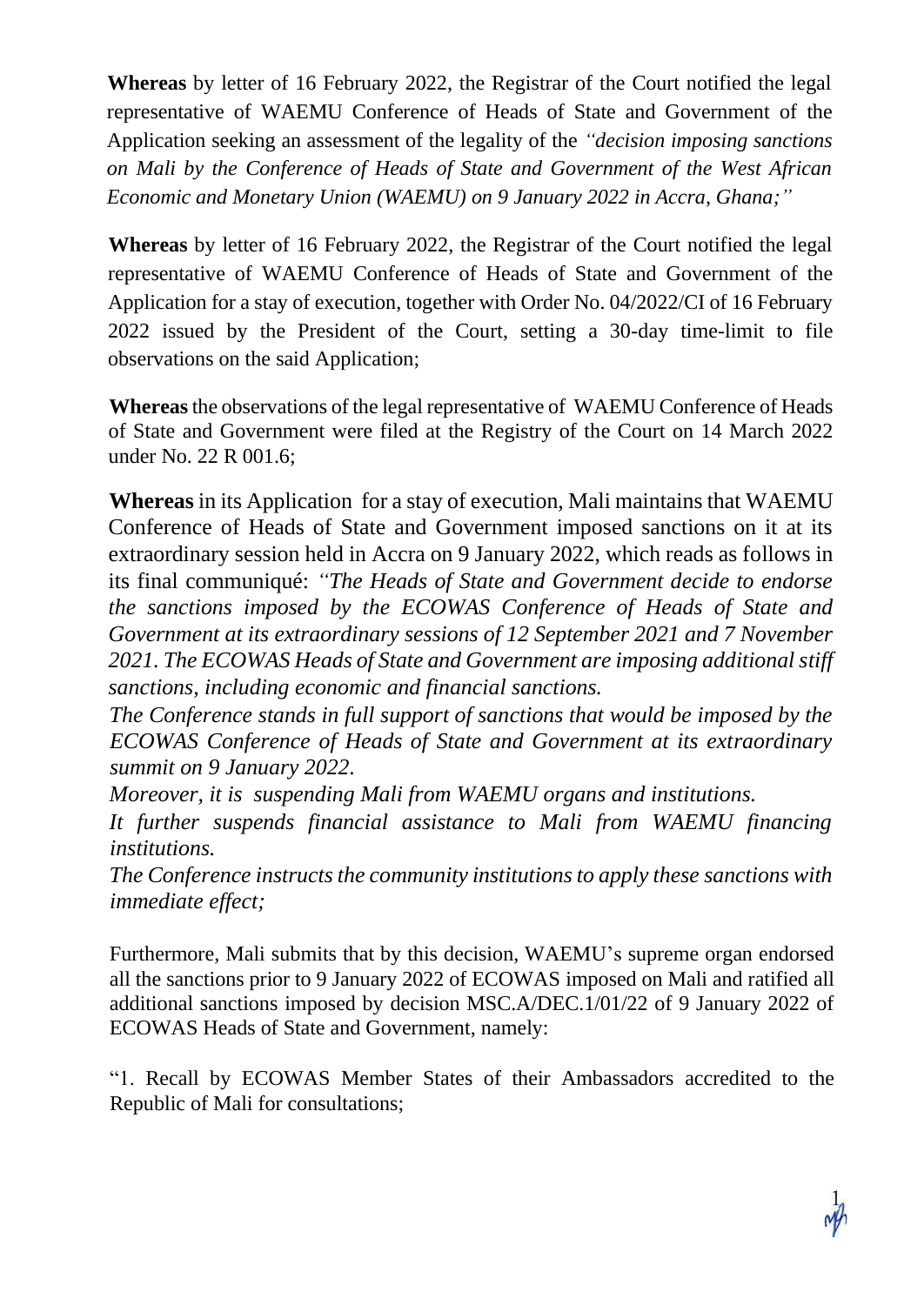**Whereas** by letter of 16 February 2022, the Registrar of the Court notified the legal representative of WAEMU Conference of Heads of State and Government of the Application seeking an assessment of the legality of the *"decision imposing sanctions on Mali by the Conference of Heads of State and Government of the West African Economic and Monetary Union (WAEMU) on 9 January 2022 in Accra, Ghana;"*

**Whereas** by letter of 16 February 2022, the Registrar of the Court notified the legal representative of WAEMU Conference of Heads of State and Government of the Application for a stay of execution, together with Order No. 04/2022/CI of 16 February 2022 issued by the President of the Court, setting a 30-day time-limit to file observations on the said Application;

**Whereas** the observations of the legal representative of WAEMU Conference of Heads of State and Government were filed at the Registry of the Court on 14 March 2022 under No. 22 R 001.6;

**Whereas** in its Application for a stay of execution, Mali maintains that WAEMU Conference of Heads of State and Government imposed sanctions on it at its extraordinary session held in Accra on 9 January 2022, which reads as follows in its final communiqué: *"The Heads of State and Government decide to endorse the sanctions imposed by the ECOWAS Conference of Heads of State and Government at its extraordinary sessions of 12 September 2021 and 7 November 2021. The ECOWAS Heads of State and Government are imposing additional stiff sanctions, including economic and financial sanctions.*

*The Conference stands in full support of sanctions that would be imposed by the ECOWAS Conference of Heads of State and Government at its extraordinary summit on 9 January 2022.*

*Moreover, it is suspending Mali from WAEMU organs and institutions.*

*It further suspends financial assistance to Mali from WAEMU financing institutions.*

*The Conference instructs the community institutions to apply these sanctions with immediate effect;*

Furthermore, Mali submits that by this decision, WAEMU's supreme organ endorsed all the sanctions prior to 9 January 2022 of ECOWAS imposed on Mali and ratified all additional sanctions imposed by decision MSC.A/DEC.1/01/22 of 9 January 2022 of ECOWAS Heads of State and Government, namely:

"1. Recall by ECOWAS Member States of their Ambassadors accredited to the Republic of Mali for consultations;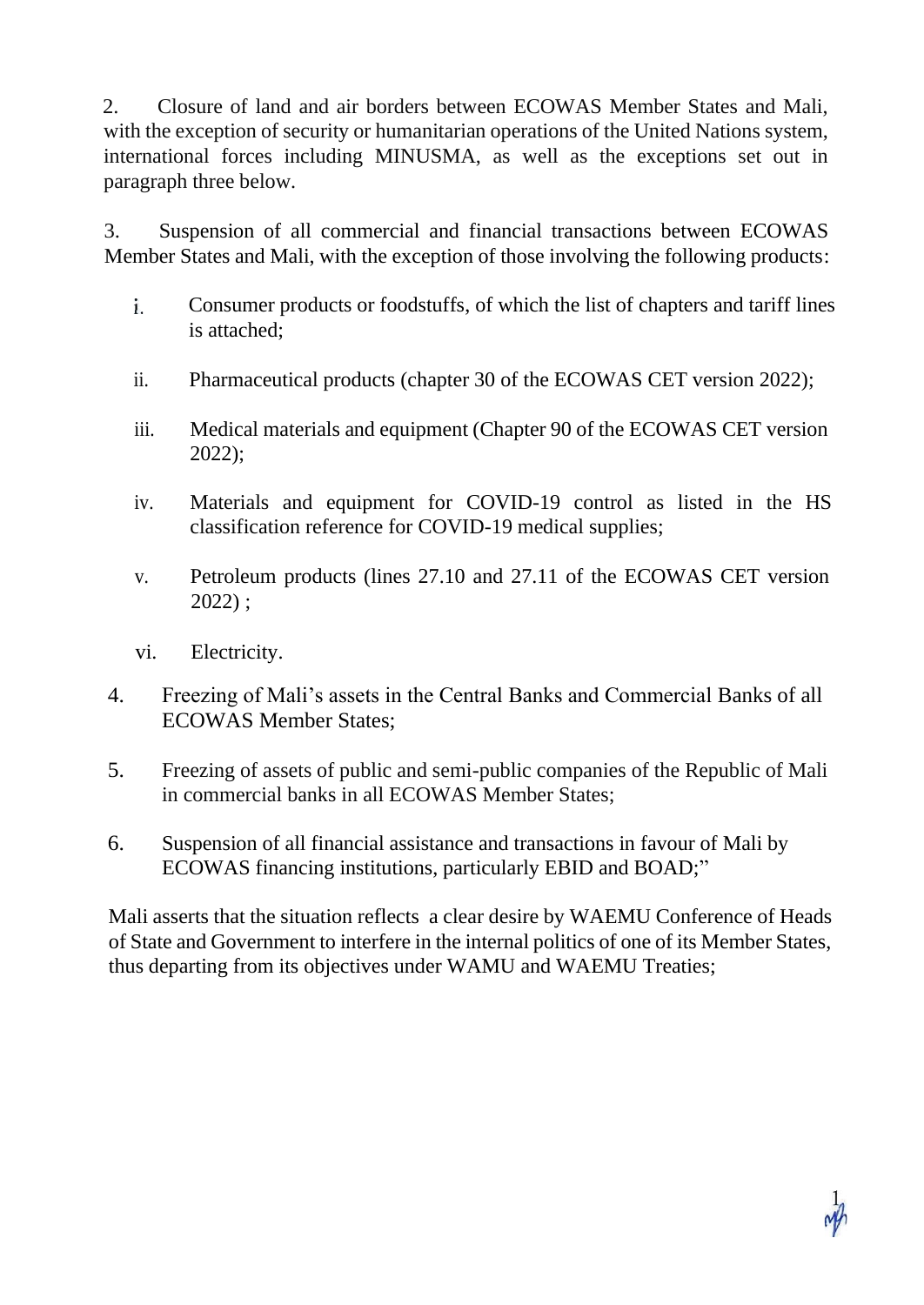2. Closure of land and air borders between ECOWAS Member States and Mali, with the exception of security or humanitarian operations of the United Nations system, international forces including MINUSMA, as well as the exceptions set out in paragraph three below.

3. Suspension of all commercial and financial transactions between ECOWAS Member States and Mali, with the exception of those involving the following products:

- $\mathbf{i}$ . Consumer products or foodstuffs, of which the list of chapters and tariff lines is attached;
- ii. Pharmaceutical products (chapter 30 of the ECOWAS CET version 2022);
- iii. Medical materials and equipment (Chapter 90 of the ECOWAS CET version 2022);
- iv. Materials and equipment for COVID-19 control as listed in the HS classification reference for COVID-19 medical supplies;
- v. Petroleum products (lines 27.10 and 27.11 of the ECOWAS CET version 2022) ;
- vi. Electricity.
- 4. Freezing of Mali's assets in the Central Banks and Commercial Banks of all ECOWAS Member States;
- 5. Freezing of assets of public and semi-public companies of the Republic of Mali in commercial banks in all ECOWAS Member States;
- 6. Suspension of all financial assistance and transactions in favour of Mali by ECOWAS financing institutions, particularly EBID and BOAD;"

Mali asserts that the situation reflects a clear desire by WAEMU Conference of Heads of State and Government to interfere in the internal politics of one of its Member States, thus departing from its objectives under WAMU and WAEMU Treaties;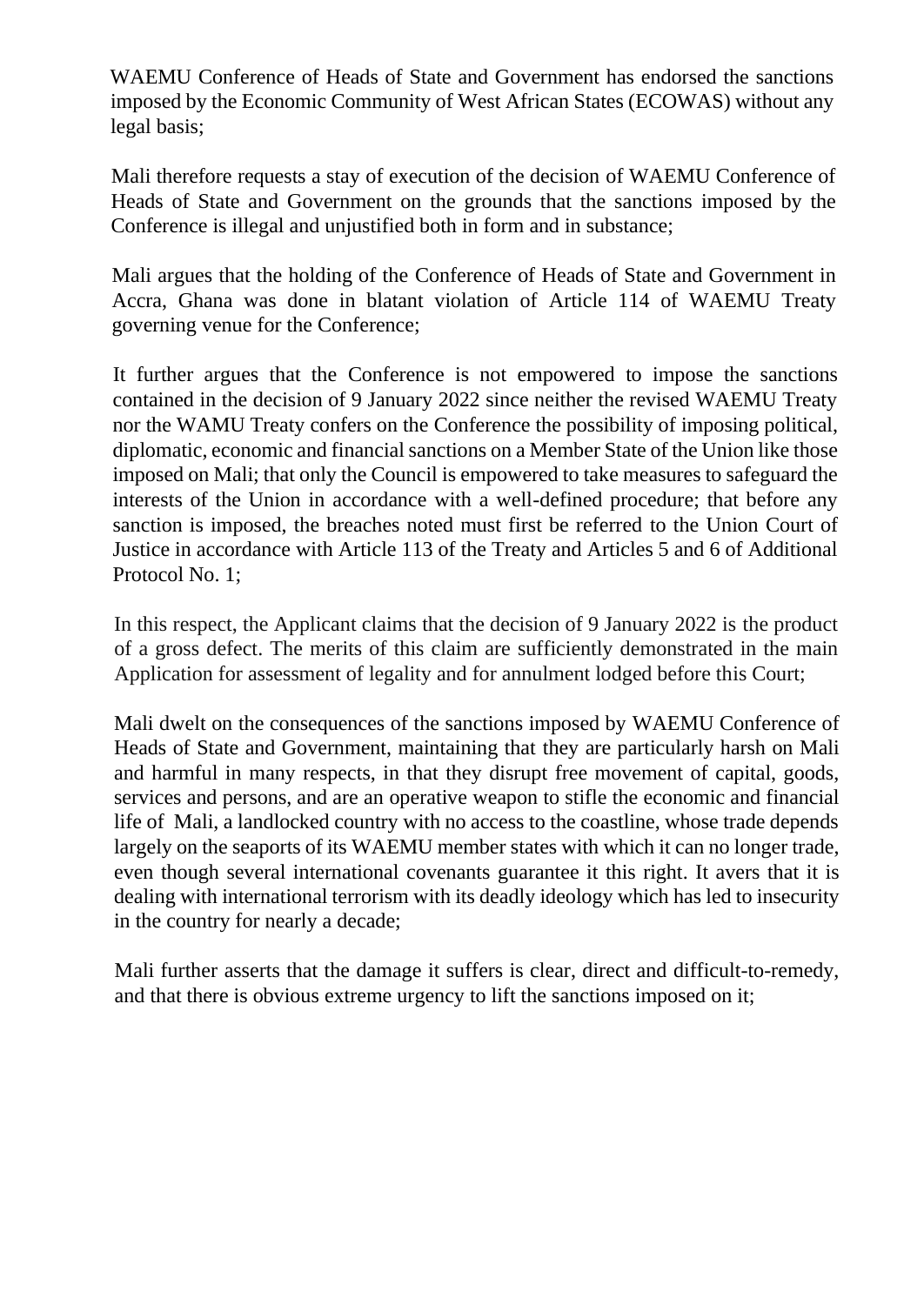WAEMU Conference of Heads of State and Government has endorsed the sanctions imposed by the Economic Community of West African States (ECOWAS) without any legal basis;

Mali therefore requests a stay of execution of the decision of WAEMU Conference of Heads of State and Government on the grounds that the sanctions imposed by the Conference is illegal and unjustified both in form and in substance;

Mali argues that the holding of the Conference of Heads of State and Government in Accra, Ghana was done in blatant violation of Article 114 of WAEMU Treaty governing venue for the Conference;

It further argues that the Conference is not empowered to impose the sanctions contained in the decision of 9 January 2022 since neither the revised WAEMU Treaty nor the WAMU Treaty confers on the Conference the possibility of imposing political, diplomatic, economic and financial sanctions on a Member State of the Union like those imposed on Mali; that only the Council is empowered to take measures to safeguard the interests of the Union in accordance with a well-defined procedure; that before any sanction is imposed, the breaches noted must first be referred to the Union Court of Justice in accordance with Article 113 of the Treaty and Articles 5 and 6 of Additional Protocol No. 1;

In this respect, the Applicant claims that the decision of 9 January 2022 is the product of a gross defect. The merits of this claim are sufficiently demonstrated in the main Application for assessment of legality and for annulment lodged before this Court;

Mali dwelt on the consequences of the sanctions imposed by WAEMU Conference of Heads of State and Government, maintaining that they are particularly harsh on Mali and harmful in many respects, in that they disrupt free movement of capital, goods, services and persons, and are an operative weapon to stifle the economic and financial life of Mali, a landlocked country with no access to the coastline, whose trade depends largely on the seaports of its WAEMU member states with which it can no longer trade, even though several international covenants guarantee it this right. It avers that it is dealing with international terrorism with its deadly ideology which has led to insecurity in the country for nearly a decade;

Mali further asserts that the damage it suffers is clear, direct and difficult-to-remedy, and that there is obvious extreme urgency to lift the sanctions imposed on it;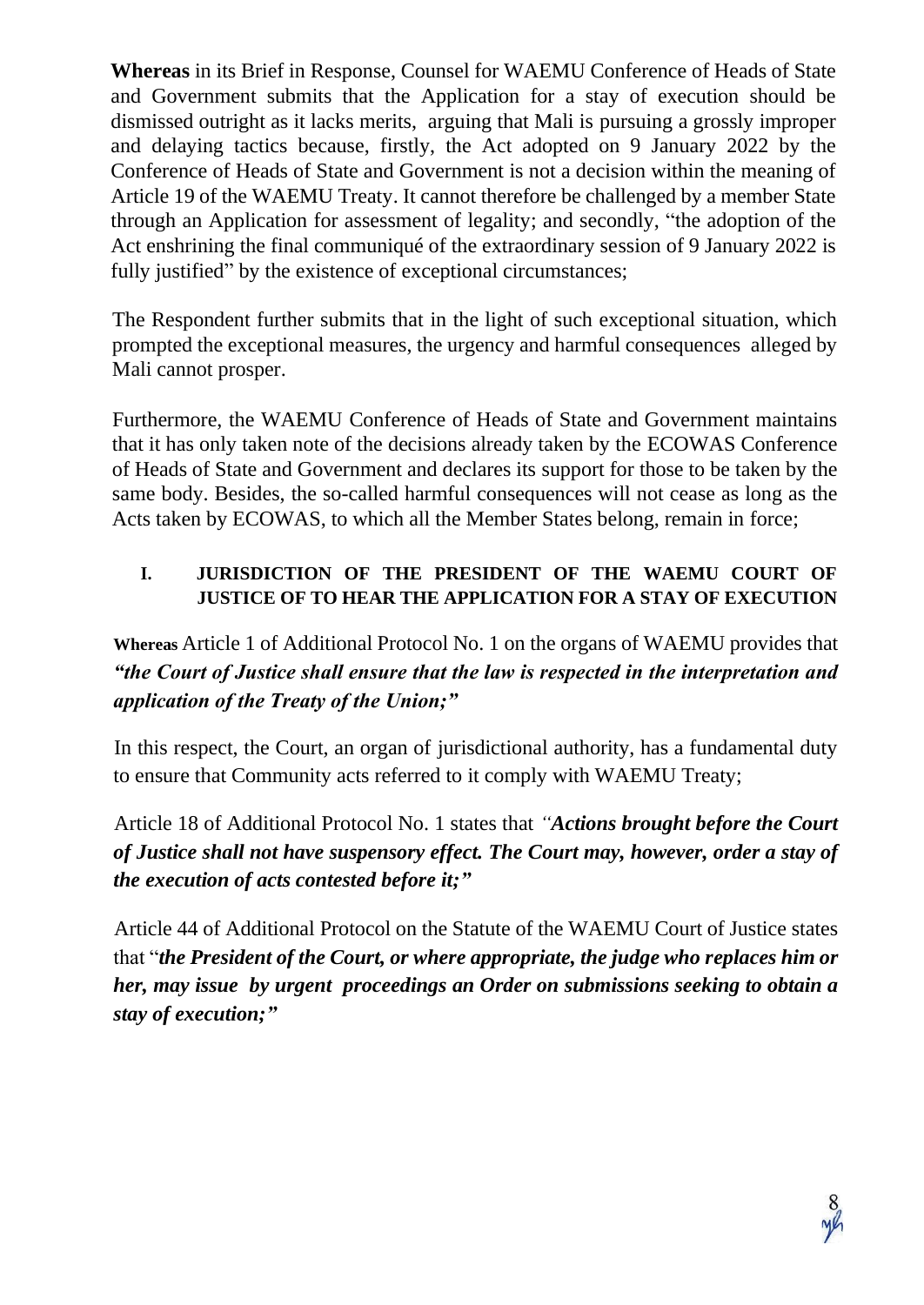**Whereas** in its Brief in Response, Counsel for WAEMU Conference of Heads of State and Government submits that the Application for a stay of execution should be dismissed outright as it lacks merits, arguing that Mali is pursuing a grossly improper and delaying tactics because, firstly, the Act adopted on 9 January 2022 by the Conference of Heads of State and Government is not a decision within the meaning of Article 19 of the WAEMU Treaty. It cannot therefore be challenged by a member State through an Application for assessment of legality; and secondly, "the adoption of the Act enshrining the final communiqué of the extraordinary session of 9 January 2022 is fully justified" by the existence of exceptional circumstances;

The Respondent further submits that in the light of such exceptional situation, which prompted the exceptional measures, the urgency and harmful consequences alleged by Mali cannot prosper.

Furthermore, the WAEMU Conference of Heads of State and Government maintains that it has only taken note of the decisions already taken by the ECOWAS Conference of Heads of State and Government and declares its support for those to be taken by the same body. Besides, the so-called harmful consequences will not cease as long as the Acts taken by ECOWAS, to which all the Member States belong, remain in force;

## **I. JURISDICTION OF THE PRESIDENT OF THE WAEMU COURT OF JUSTICE OF TO HEAR THE APPLICATION FOR A STAY OF EXECUTION**

**Whereas** Article 1 of Additional Protocol No. 1 on the organs of WAEMU provides that *"the Court of Justice shall ensure that the law is respected in the interpretation and application of the Treaty of the Union;"*

In this respect, the Court, an organ of jurisdictional authority, has a fundamental duty to ensure that Community acts referred to it comply with WAEMU Treaty;

Article 18 of Additional Protocol No. 1 states that *"Actions brought before the Court of Justice shall not have suspensory effect. The Court may, however, order a stay of the execution of acts contested before it;"*

Article 44 of Additional Protocol on the Statute of the WAEMU Court of Justice states that "*the President of the Court, or where appropriate, the judge who replaces him or her, may issue by urgent proceedings an Order on submissions seeking to obtain a stay of execution;"*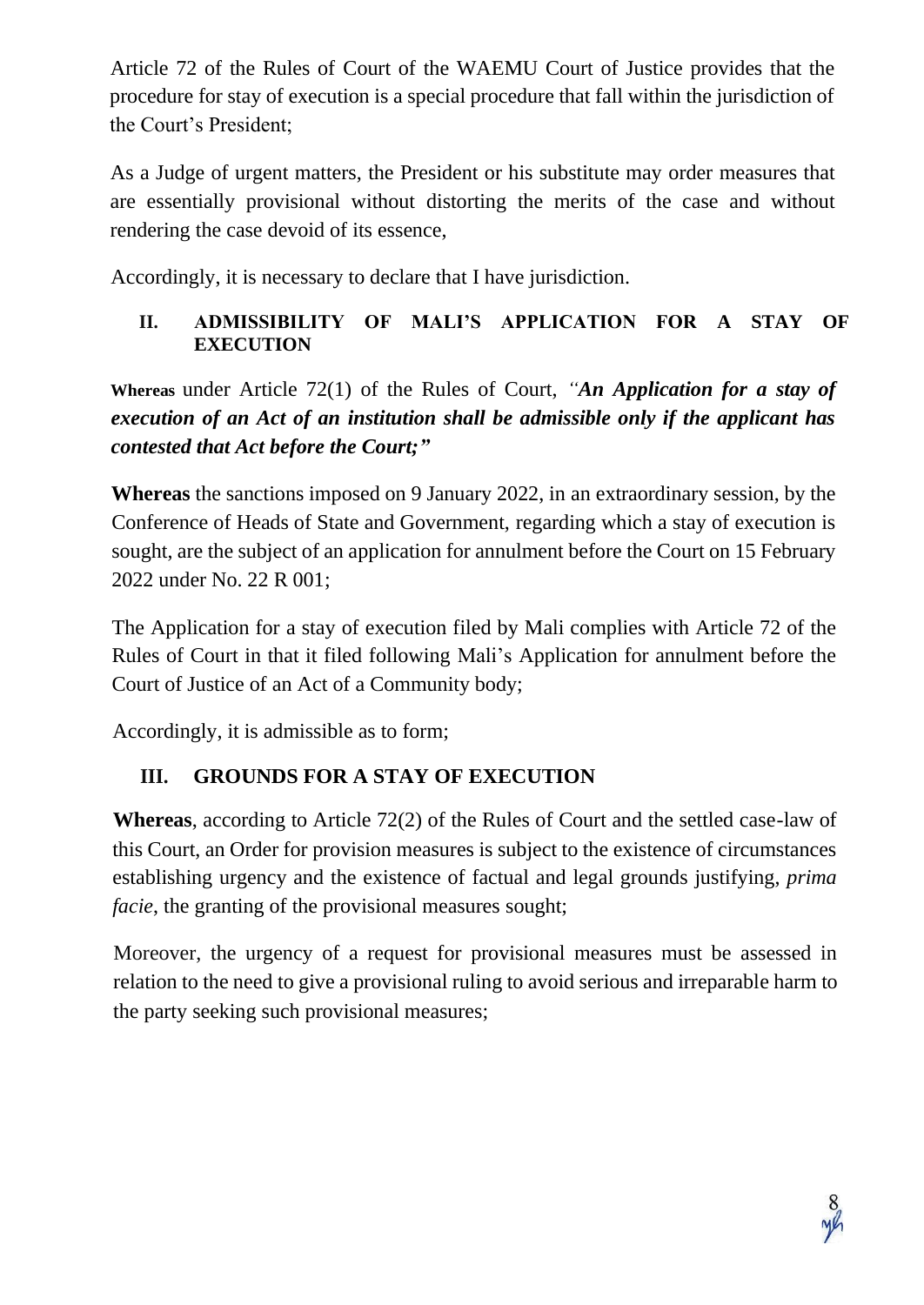Article 72 of the Rules of Court of the WAEMU Court of Justice provides that the procedure for stay of execution is a special procedure that fall within the jurisdiction of the Court's President;

As a Judge of urgent matters, the President or his substitute may order measures that are essentially provisional without distorting the merits of the case and without rendering the case devoid of its essence,

Accordingly, it is necessary to declare that I have jurisdiction.

### **II. ADMISSIBILITY OF MALI'S APPLICATION FOR A STAY OF EXECUTION**

**Whereas** under Article 72(1) of the Rules of Court, *"An Application for a stay of execution of an Act of an institution shall be admissible only if the applicant has contested that Act before the Court;"*

**Whereas** the sanctions imposed on 9 January 2022, in an extraordinary session, by the Conference of Heads of State and Government, regarding which a stay of execution is sought, are the subject of an application for annulment before the Court on 15 February 2022 under No. 22 R 001;

The Application for a stay of execution filed by Mali complies with Article 72 of the Rules of Court in that it filed following Mali's Application for annulment before the Court of Justice of an Act of a Community body;

Accordingly, it is admissible as to form;

# **III. GROUNDS FOR A STAY OF EXECUTION**

**Whereas**, according to Article 72(2) of the Rules of Court and the settled case-law of this Court, an Order for provision measures is subject to the existence of circumstances establishing urgency and the existence of factual and legal grounds justifying, *prima facie*, the granting of the provisional measures sought;

Moreover, the urgency of a request for provisional measures must be assessed in relation to the need to give a provisional ruling to avoid serious and irreparable harm to the party seeking such provisional measures;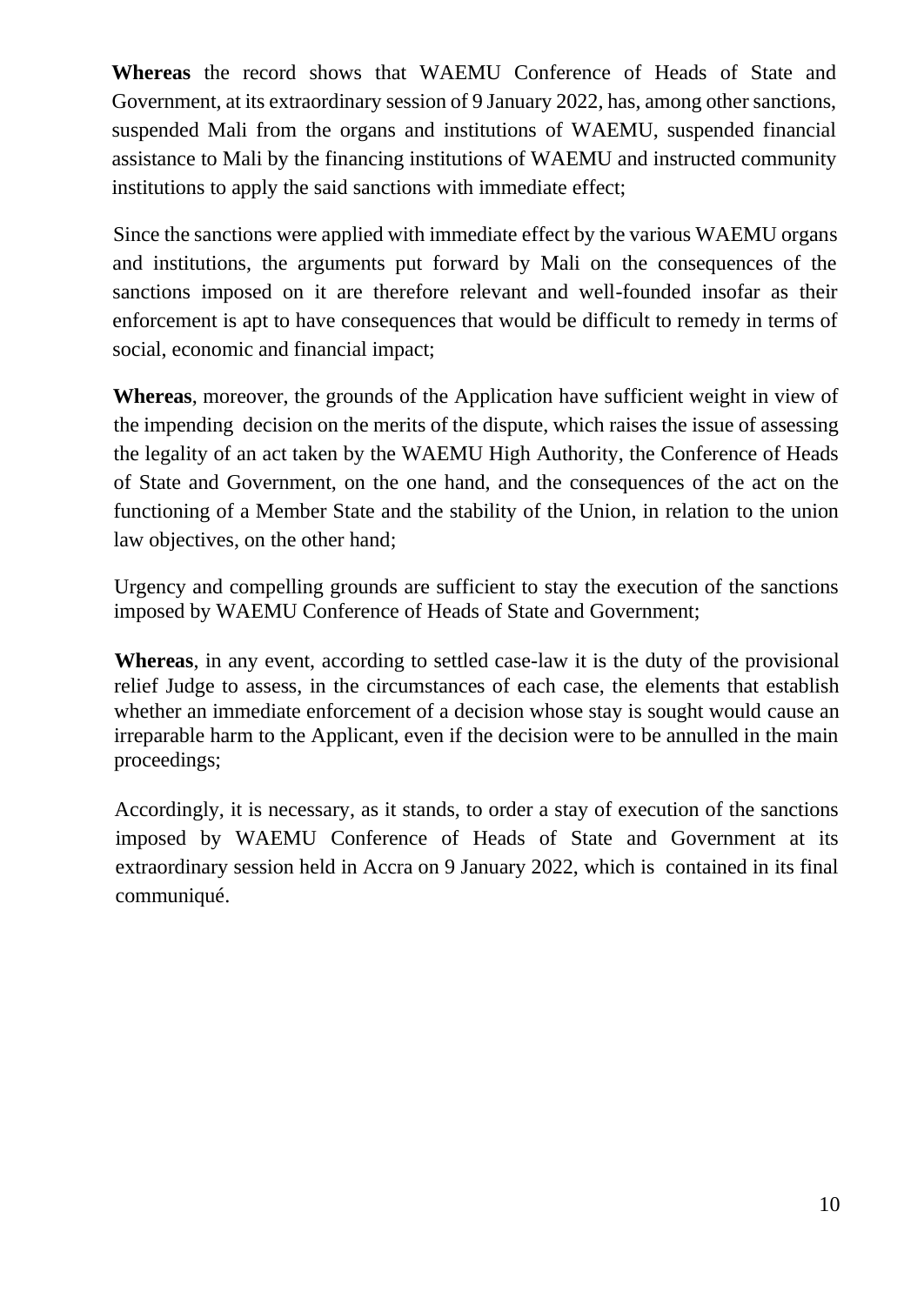**Whereas** the record shows that WAEMU Conference of Heads of State and Government, at its extraordinary session of 9 January 2022, has, among other sanctions, suspended Mali from the organs and institutions of WAEMU, suspended financial assistance to Mali by the financing institutions of WAEMU and instructed community institutions to apply the said sanctions with immediate effect;

Since the sanctions were applied with immediate effect by the various WAEMU organs and institutions, the arguments put forward by Mali on the consequences of the sanctions imposed on it are therefore relevant and well-founded insofar as their enforcement is apt to have consequences that would be difficult to remedy in terms of social, economic and financial impact;

**Whereas**, moreover, the grounds of the Application have sufficient weight in view of the impending decision on the merits of the dispute, which raises the issue of assessing the legality of an act taken by the WAEMU High Authority, the Conference of Heads of State and Government, on the one hand, and the consequences of the act on the functioning of a Member State and the stability of the Union, in relation to the union law objectives, on the other hand;

Urgency and compelling grounds are sufficient to stay the execution of the sanctions imposed by WAEMU Conference of Heads of State and Government;

**Whereas**, in any event, according to settled case-law it is the duty of the provisional relief Judge to assess, in the circumstances of each case, the elements that establish whether an immediate enforcement of a decision whose stay is sought would cause an irreparable harm to the Applicant, even if the decision were to be annulled in the main proceedings;

Accordingly, it is necessary, as it stands, to order a stay of execution of the sanctions imposed by WAEMU Conference of Heads of State and Government at its extraordinary session held in Accra on 9 January 2022, which is contained in its final communiqué.